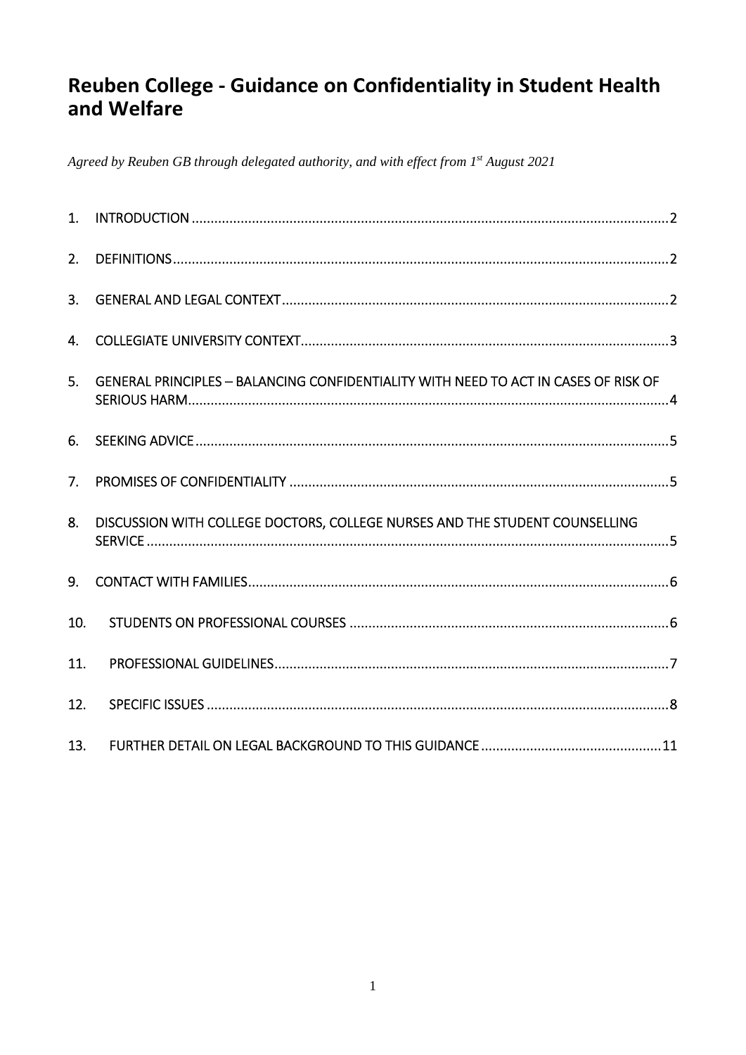# Reuben College - Guidance on Confidentiality in Student Health and Welfare

Agreed by Reuben GB through delegated authority, and with effect from 1st August 2021

| 2.  |                                                                                     |  |
|-----|-------------------------------------------------------------------------------------|--|
| 3.  |                                                                                     |  |
| 4.  |                                                                                     |  |
| 5.  | GENERAL PRINCIPLES - BALANCING CONFIDENTIALITY WITH NEED TO ACT IN CASES OF RISK OF |  |
| 6.  |                                                                                     |  |
| 7.  |                                                                                     |  |
| 8.  | DISCUSSION WITH COLLEGE DOCTORS, COLLEGE NURSES AND THE STUDENT COUNSELLING         |  |
| 9.  |                                                                                     |  |
| 10. |                                                                                     |  |
| 11. |                                                                                     |  |
| 12. |                                                                                     |  |
| 13. |                                                                                     |  |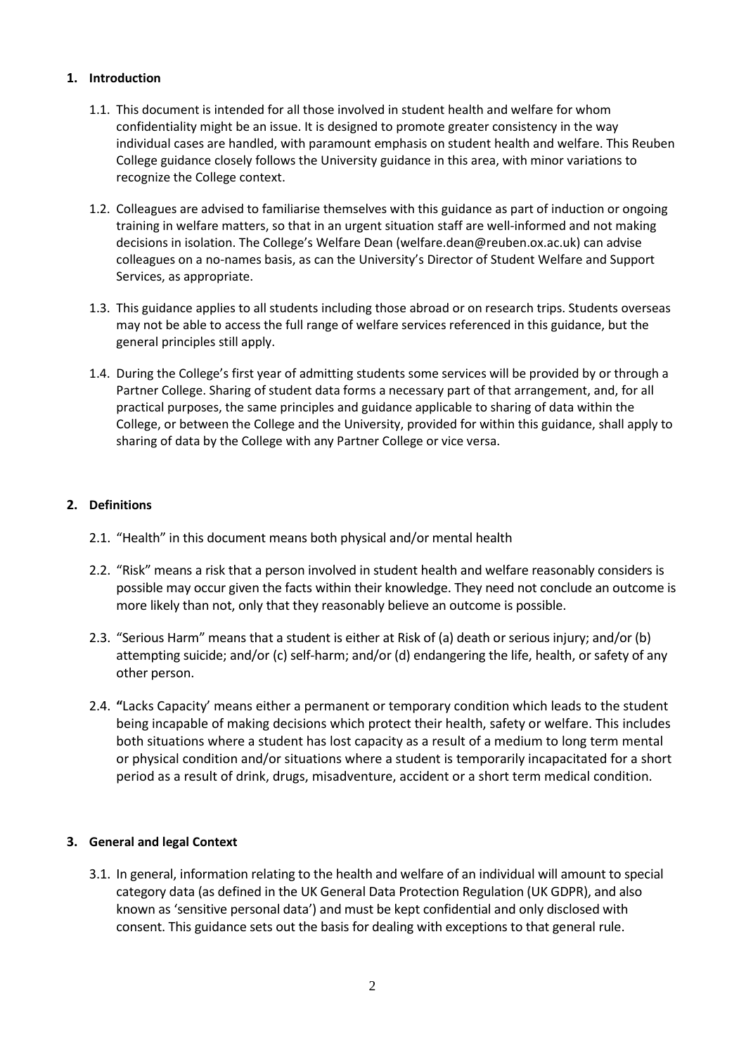# <span id="page-1-0"></span>**1. Introduction**

- 1.1. This document is intended for all those involved in student health and welfare for whom confidentiality might be an issue. It is designed to promote greater consistency in the way individual cases are handled, with paramount emphasis on student health and welfare. This Reuben College guidance closely follows the University guidance in this area, with minor variations to recognize the College context.
- 1.2. Colleagues are advised to familiarise themselves with this guidance as part of induction or ongoing training in welfare matters, so that in an urgent situation staff are well-informed and not making decisions in isolation. The College's Welfare Dean (welfare.dean@reuben.ox.ac.uk) can advise colleagues on a no-names basis, as can the University's Director of Student Welfare and Support Services, as appropriate.
- 1.3. This guidance applies to all students including those abroad or on research trips. Students overseas may not be able to access the full range of welfare services referenced in this guidance, but the general principles still apply.
- 1.4. During the College's first year of admitting students some services will be provided by or through a Partner College. Sharing of student data forms a necessary part of that arrangement, and, for all practical purposes, the same principles and guidance applicable to sharing of data within the College, or between the College and the University, provided for within this guidance, shall apply to sharing of data by the College with any Partner College or vice versa.

# <span id="page-1-1"></span>**2. Definitions**

- 2.1. "Health" in this document means both physical and/or mental health
- 2.2. "Risk" means a risk that a person involved in student health and welfare reasonably considers is possible may occur given the facts within their knowledge. They need not conclude an outcome is more likely than not, only that they reasonably believe an outcome is possible.
- 2.3. "Serious Harm" means that a student is either at Risk of (a) death or serious injury; and/or (b) attempting suicide; and/or (c) self-harm; and/or (d) endangering the life, health, or safety of any other person.
- 2.4. **"**Lacks Capacity' means either a permanent or temporary condition which leads to the student being incapable of making decisions which protect their health, safety or welfare. This includes both situations where a student has lost capacity as a result of a medium to long term mental or physical condition and/or situations where a student is temporarily incapacitated for a short period as a result of drink, drugs, misadventure, accident or a short term medical condition.

#### <span id="page-1-2"></span>**3. General and legal Context**

3.1. In general, information relating to the health and welfare of an individual will amount to special category data (as defined in the UK General Data Protection Regulation (UK GDPR), and also known as 'sensitive personal data') and must be kept confidential and only disclosed with consent. This guidance sets out the basis for dealing with exceptions to that general rule.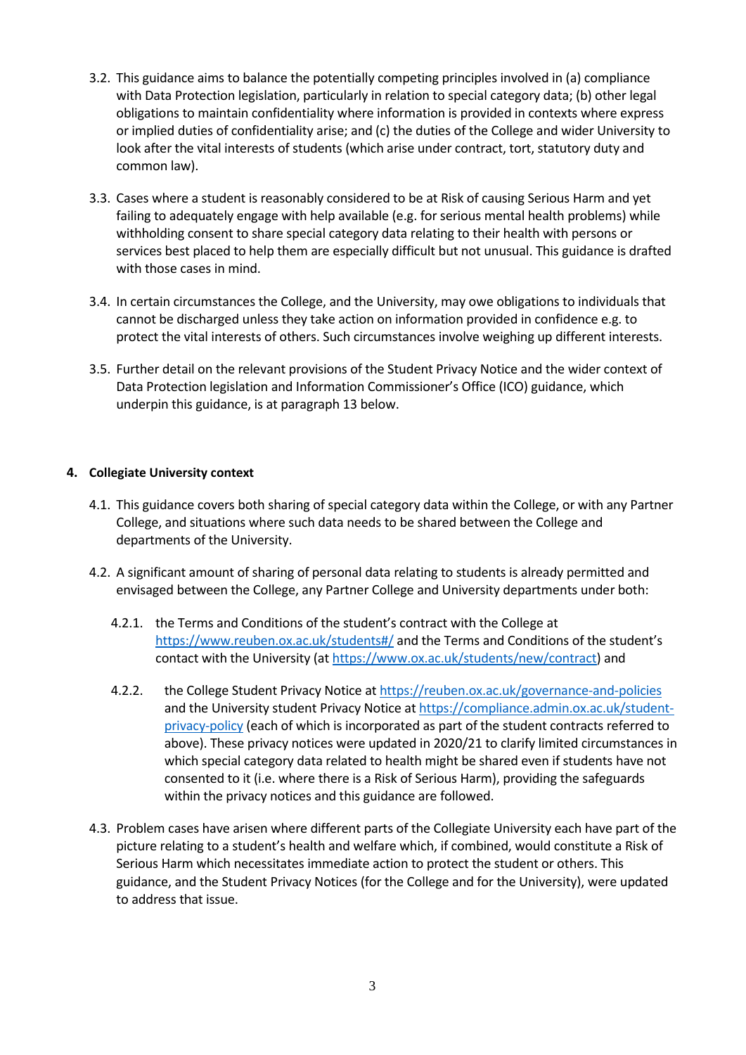- 3.2. This guidance aims to balance the potentially competing principles involved in (a) compliance with Data Protection legislation, particularly in relation to special category data; (b) other legal obligations to maintain confidentiality where information is provided in contexts where express or implied duties of confidentiality arise; and (c) the duties of the College and wider University to look after the vital interests of students (which arise under contract, tort, statutory duty and common law).
- 3.3. Cases where a student is reasonably considered to be at Risk of causing Serious Harm and yet failing to adequately engage with help available (e.g. for serious mental health problems) while withholding consent to share special category data relating to their health with persons or services best placed to help them are especially difficult but not unusual. This guidance is drafted with those cases in mind.
- 3.4. In certain circumstances the College, and the University, may owe obligations to individuals that cannot be discharged unless they take action on information provided in confidence e.g. to protect the vital interests of others. Such circumstances involve weighing up different interests.
- 3.5. Further detail on the relevant provisions of the Student Privacy Notice and the wider context of Data Protection legislation and Information Commissioner's Office (ICO) guidance, which underpin this guidance, is at paragraph 13 below.

# <span id="page-2-0"></span>**4. Collegiate University context**

- 4.1. This guidance covers both sharing of special category data within the College, or with any Partner College, and situations where such data needs to be shared between the College and departments of the University.
- 4.2. A significant amount of sharing of personal data relating to students is already permitted and envisaged between the College, any Partner College and University departments under both:
	- 4.2.1. the Terms and Conditions of the student's contract with the College at <https://www.reuben.ox.ac.uk/students#/> and the Terms and Conditions of the student's contact with the University (at [https://www.ox.ac.uk/students/new/contract\)](https://www.ox.ac.uk/students/new/contract) and
	- 4.2.2. the College Student Privacy Notice at<https://reuben.ox.ac.uk/governance-and-policies> and the University student Privacy Notice a[t https://compliance.admin.ox.ac.uk/student](https://compliance.admin.ox.ac.uk/student-privacy-policy)[privacy-policy \(](https://compliance.admin.ox.ac.uk/student-privacy-policy)each of which is incorporated as part of the student contracts referred to above). These privacy notices were updated in 2020/21 to clarify limited circumstances in which special category data related to health might be shared even if students have not consented to it (i.e. where there is a Risk of Serious Harm), providing the safeguards within the privacy notices and this guidance are followed.
- 4.3. Problem cases have arisen where different parts of the Collegiate University each have part of the picture relating to a student's health and welfare which, if combined, would constitute a Risk of Serious Harm which necessitates immediate action to protect the student or others. This guidance, and the Student Privacy Notices (for the College and for the University), were updated to address that issue.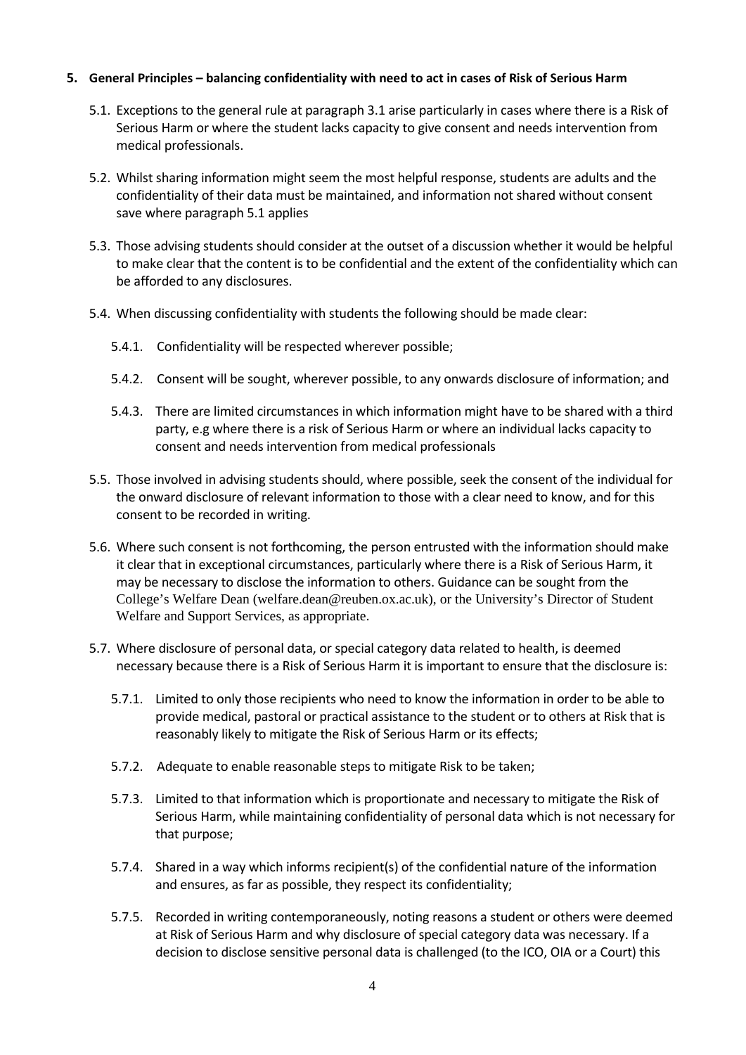## <span id="page-3-0"></span>**5. General Principles – balancing confidentiality with need to act in cases of Risk of Serious Harm**

- 5.1. Exceptions to the general rule at paragraph 3.1 arise particularly in cases where there is a Risk of Serious Harm or where the student lacks capacity to give consent and needs intervention from medical professionals.
- 5.2. Whilst sharing information might seem the most helpful response, students are adults and the confidentiality of their data must be maintained, and information not shared without consent save where paragraph 5.1 applies
- 5.3. Those advising students should consider at the outset of a discussion whether it would be helpful to make clear that the content is to be confidential and the extent of the confidentiality which can be afforded to any disclosures.
- 5.4. When discussing confidentiality with students the following should be made clear:
	- 5.4.1. Confidentiality will be respected wherever possible;
	- 5.4.2. Consent will be sought, wherever possible, to any onwards disclosure of information; and
	- 5.4.3. There are limited circumstances in which information might have to be shared with a third party, e.g where there is a risk of Serious Harm or where an individual lacks capacity to consent and needs intervention from medical professionals
- 5.5. Those involved in advising students should, where possible, seek the consent of the individual for the onward disclosure of relevant information to those with a clear need to know, and for this consent to be recorded in writing.
- 5.6. Where such consent is not forthcoming, the person entrusted with the information should make it clear that in exceptional circumstances, particularly where there is a Risk of Serious Harm, it may be necessary to disclose the information to others. Guidance can be sought from the College's Welfare Dean (welfare.dean@reuben.ox.ac.uk), or the University's Director of Student Welfare and Support Services, as appropriate.
- 5.7. Where disclosure of personal data, or special category data related to health, is deemed necessary because there is a Risk of Serious Harm it is important to ensure that the disclosure is:
	- 5.7.1. Limited to only those recipients who need to know the information in order to be able to provide medical, pastoral or practical assistance to the student or to others at Risk that is reasonably likely to mitigate the Risk of Serious Harm or its effects;
	- 5.7.2. Adequate to enable reasonable steps to mitigate Risk to be taken;
	- 5.7.3. Limited to that information which is proportionate and necessary to mitigate the Risk of Serious Harm, while maintaining confidentiality of personal data which is not necessary for that purpose;
	- 5.7.4. Shared in a way which informs recipient(s) of the confidential nature of the information and ensures, as far as possible, they respect its confidentiality;
	- 5.7.5. Recorded in writing contemporaneously, noting reasons a student or others were deemed at Risk of Serious Harm and why disclosure of special category data was necessary. If a decision to disclose sensitive personal data is challenged (to the ICO, OIA or a Court) this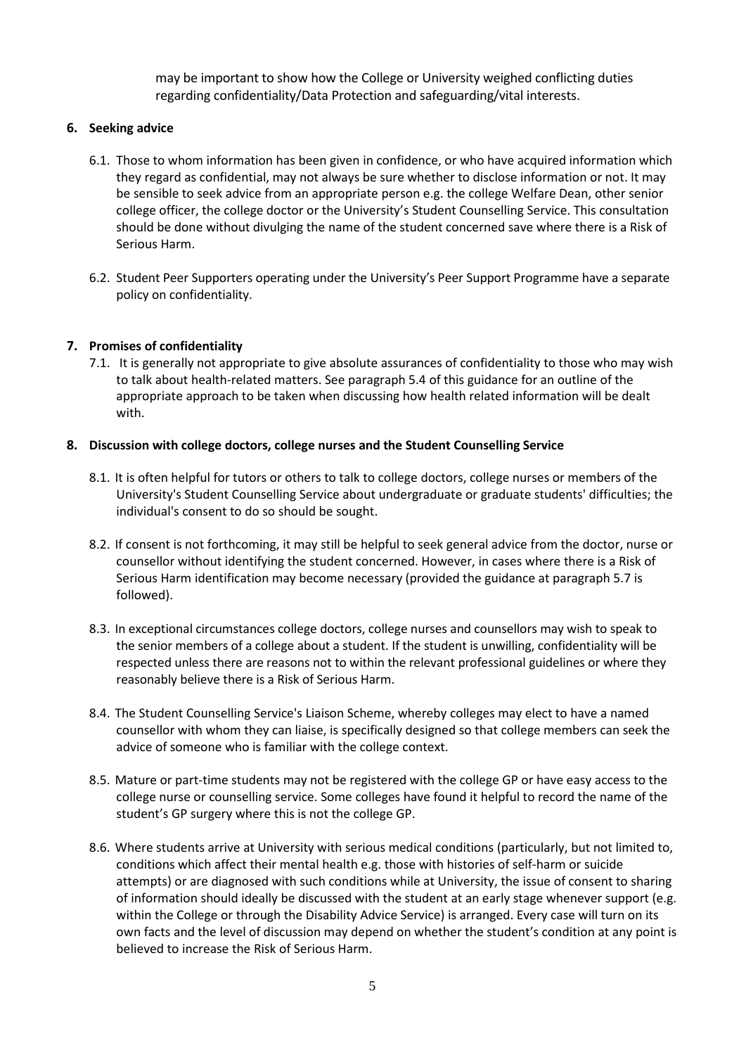may be important to show how the College or University weighed conflicting duties regarding confidentiality/Data Protection and safeguarding/vital interests.

## <span id="page-4-0"></span>**6. Seeking advice**

- 6.1. Those to whom information has been given in confidence, or who have acquired information which they regard as confidential, may not always be sure whether to disclose information or not. It may be sensible to seek advice from an appropriate person e.g. the college Welfare Dean, other senior college officer, the college doctor or the University's Student Counselling Service. This consultation should be done without divulging the name of the student concerned save where there is a Risk of Serious Harm.
- 6.2. Student Peer Supporters operating under the University's Peer Support Programme have a separate policy on confidentiality.

## <span id="page-4-1"></span>**7. Promises of confidentiality**

7.1. It is generally not appropriate to give absolute assurances of confidentiality to those who may wish to talk about health-related matters. See paragraph 5.4 of this guidance for an outline of the appropriate approach to be taken when discussing how health related information will be dealt with.

#### <span id="page-4-2"></span>**8. Discussion with college doctors, college nurses and the Student Counselling Service**

- 8.1. It is often helpful for tutors or others to talk to college doctors, college nurses or members of the University's Student Counselling Service about undergraduate or graduate students' difficulties; the individual's consent to do so should be sought.
- 8.2. If consent is not forthcoming, it may still be helpful to seek general advice from the doctor, nurse or counsellor without identifying the student concerned. However, in cases where there is a Risk of Serious Harm identification may become necessary (provided the guidance at paragraph 5.7 is followed).
- 8.3. In exceptional circumstances college doctors, college nurses and counsellors may wish to speak to the senior members of a college about a student. If the student is unwilling, confidentiality will be respected unless there are reasons not to within the relevant professional guidelines or where they reasonably believe there is a Risk of Serious Harm.
- 8.4. The Student Counselling Service's Liaison Scheme, whereby colleges may elect to have a named counsellor with whom they can liaise, is specifically designed so that college members can seek the advice of someone who is familiar with the college context.
- 8.5. Mature or part-time students may not be registered with the college GP or have easy access to the college nurse or counselling service. Some colleges have found it helpful to record the name of the student's GP surgery where this is not the college GP.
- 8.6. Where students arrive at University with serious medical conditions (particularly, but not limited to, conditions which affect their mental health e.g. those with histories of self-harm or suicide attempts) or are diagnosed with such conditions while at University, the issue of consent to sharing of information should ideally be discussed with the student at an early stage whenever support (e.g. within the College or through the Disability Advice Service) is arranged. Every case will turn on its own facts and the level of discussion may depend on whether the student's condition at any point is believed to increase the Risk of Serious Harm.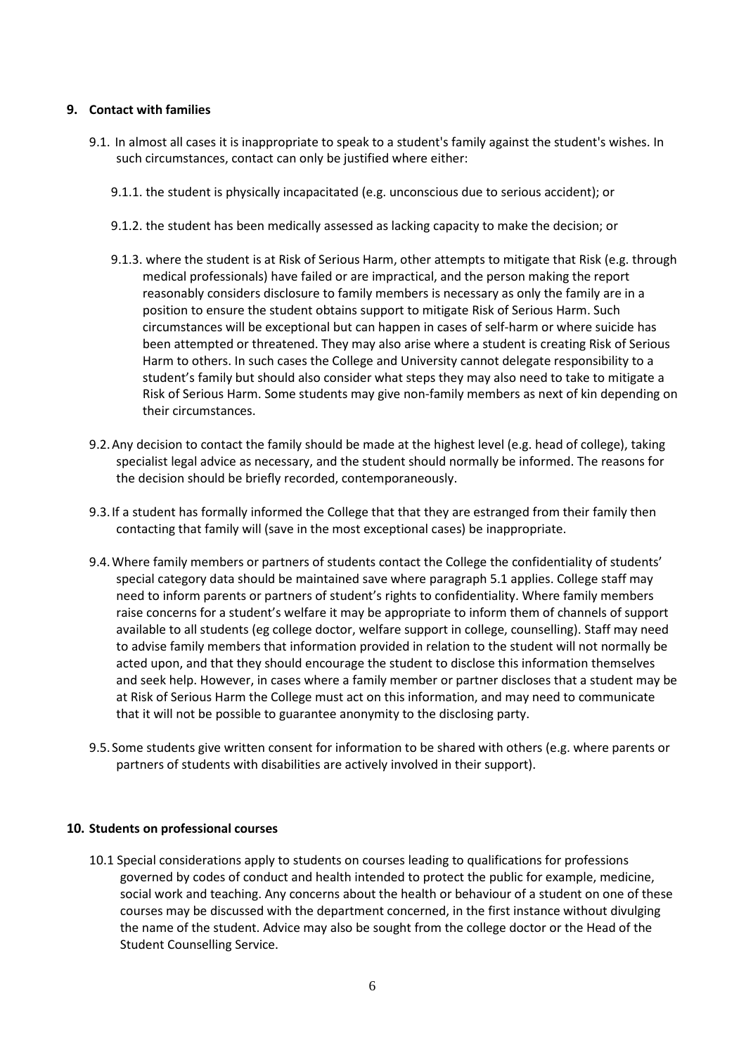## <span id="page-5-0"></span>**9. Contact with families**

- 9.1. In almost all cases it is inappropriate to speak to a student's family against the student's wishes. In such circumstances, contact can only be justified where either:
	- 9.1.1. the student is physically incapacitated (e.g. unconscious due to serious accident); or
	- 9.1.2. the student has been medically assessed as lacking capacity to make the decision; or
	- 9.1.3. where the student is at Risk of Serious Harm, other attempts to mitigate that Risk (e.g. through medical professionals) have failed or are impractical, and the person making the report reasonably considers disclosure to family members is necessary as only the family are in a position to ensure the student obtains support to mitigate Risk of Serious Harm. Such circumstances will be exceptional but can happen in cases of self-harm or where suicide has been attempted or threatened. They may also arise where a student is creating Risk of Serious Harm to others. In such cases the College and University cannot delegate responsibility to a student's family but should also consider what steps they may also need to take to mitigate a Risk of Serious Harm. Some students may give non-family members as next of kin depending on their circumstances.
- 9.2.Any decision to contact the family should be made at the highest level (e.g. head of college), taking specialist legal advice as necessary, and the student should normally be informed. The reasons for the decision should be briefly recorded, contemporaneously.
- 9.3.If a student has formally informed the College that that they are estranged from their family then contacting that family will (save in the most exceptional cases) be inappropriate.
- 9.4.Where family members or partners of students contact the College the confidentiality of students' special category data should be maintained save where paragraph 5.1 applies. College staff may need to inform parents or partners of student's rights to confidentiality. Where family members raise concerns for a student's welfare it may be appropriate to inform them of channels of support available to all students (eg college doctor, welfare support in college, counselling). Staff may need to advise family members that information provided in relation to the student will not normally be acted upon, and that they should encourage the student to disclose this information themselves and seek help. However, in cases where a family member or partner discloses that a student may be at Risk of Serious Harm the College must act on this information, and may need to communicate that it will not be possible to guarantee anonymity to the disclosing party.
- 9.5.Some students give written consent for information to be shared with others (e.g. where parents or partners of students with disabilities are actively involved in their support).

#### <span id="page-5-1"></span>**10. Students on professional courses**

10.1 Special considerations apply to students on courses leading to qualifications for professions governed by codes of conduct and health intended to protect the public for example, medicine, social work and teaching. Any concerns about the health or behaviour of a student on one of these courses may be discussed with the department concerned, in the first instance without divulging the name of the student. Advice may also be sought from the college doctor or the Head of the Student Counselling Service.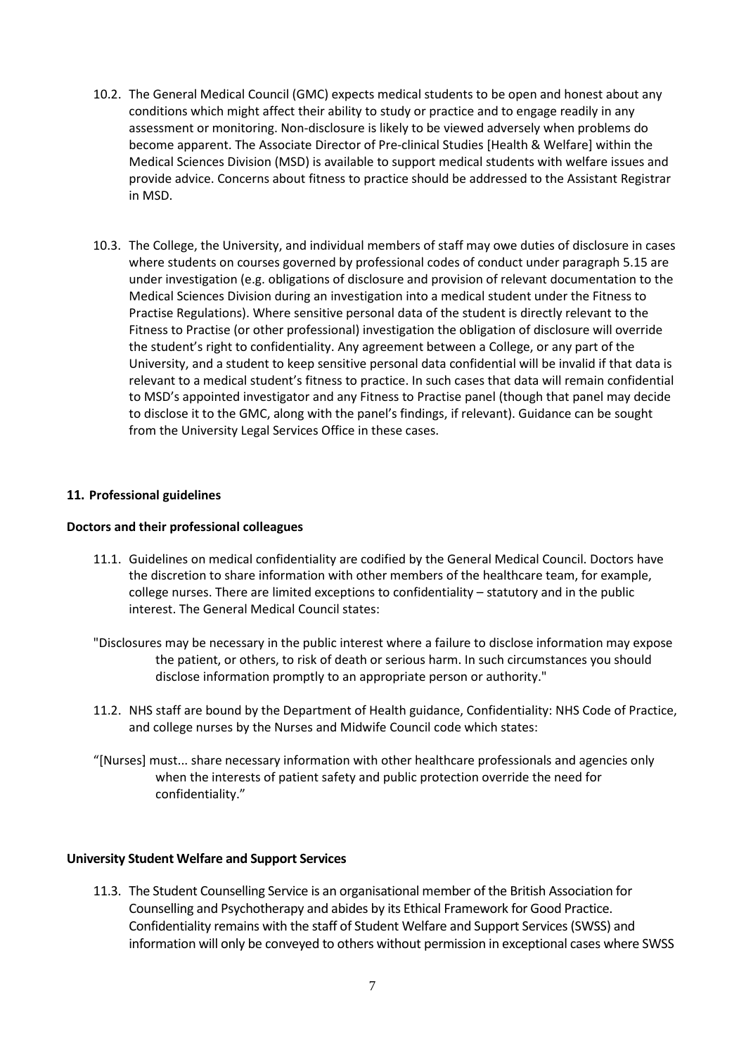- 10.2. The General Medical Council (GMC) expects medical students to be open and honest about any conditions which might affect their ability to study or practice and to engage readily in any assessment or monitoring. Non-disclosure is likely to be viewed adversely when problems do become apparent. The Associate Director of Pre-clinical Studies [Health & Welfare] within the Medical Sciences Division (MSD) is available to support medical students with welfare issues and provide advice. Concerns about fitness to practice should be addressed to the Assistant Registrar in MSD.
- 10.3. The College, the University, and individual members of staff may owe duties of disclosure in cases where students on courses governed by professional codes of conduct under paragraph 5.15 are under investigation (e.g. obligations of disclosure and provision of relevant documentation to the Medical Sciences Division during an investigation into a medical student under the Fitness to Practise Regulations). Where sensitive personal data of the student is directly relevant to the Fitness to Practise (or other professional) investigation the obligation of disclosure will override the student's right to confidentiality. Any agreement between a College, or any part of the University, and a student to keep sensitive personal data confidential will be invalid if that data is relevant to a medical student's fitness to practice. In such cases that data will remain confidential to MSD's appointed investigator and any Fitness to Practise panel (though that panel may decide to disclose it to the GMC, along with the panel's findings, if relevant). Guidance can be sought from the University Legal Services Office in these cases.

## <span id="page-6-0"></span>**11. Professional guidelines**

#### **Doctors and their professional colleagues**

- 11.1. Guidelines on medical confidentiality are codified by the General Medical Council. Doctors have the discretion to share information with other members of the healthcare team, for example, college nurses. There are limited exceptions to confidentiality – statutory and in the public interest. The General Medical Council states:
- "Disclosures may be necessary in the public interest where a failure to disclose information may expose the patient, or others, to risk of death or serious harm. In such circumstances you should disclose information promptly to an appropriate person or authority."
- 11.2. NHS staff are bound by the Department of Health guidance, Confidentiality: NHS Code of Practice, and college nurses by the Nurses and Midwife Council code which states:
- "[Nurses] must... share necessary information with other healthcare professionals and agencies only when the interests of patient safety and public protection override the need for confidentiality."

#### **University Student Welfare and Support Services**

11.3. The Student Counselling Service is an organisational member of the British Association for Counselling and Psychotherapy and abides by its Ethical Framework for Good Practice. Confidentiality remains with the staff of Student Welfare and Support Services (SWSS) and information will only be conveyed to others without permission in exceptional cases where SWSS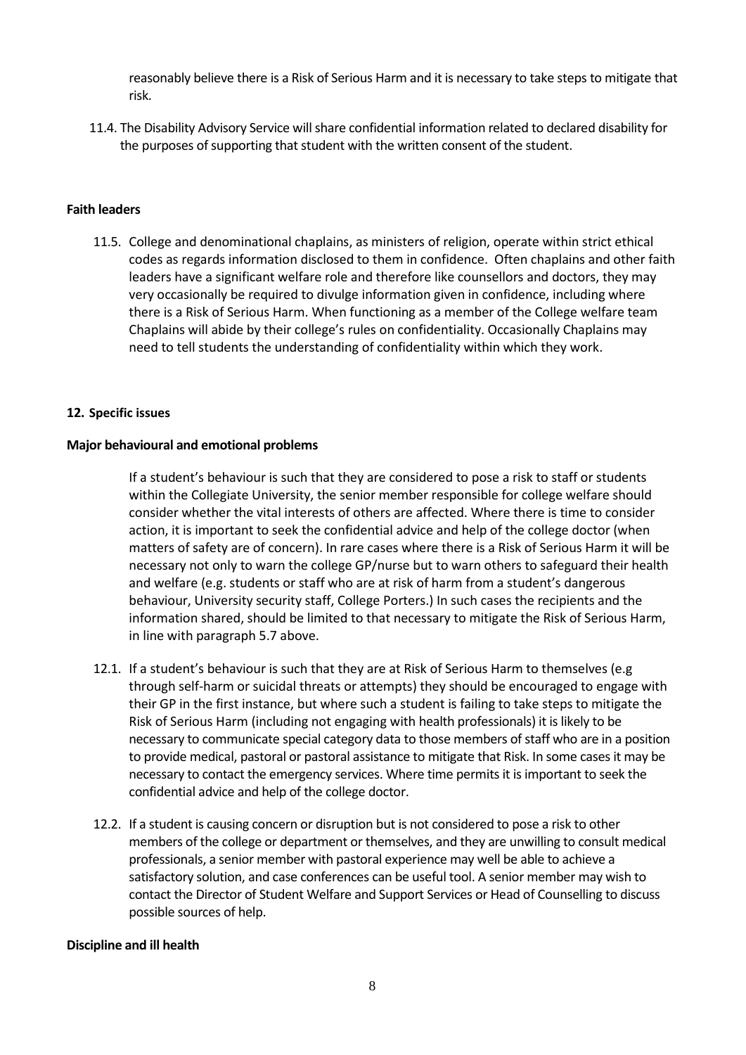reasonably believe there is a Risk of Serious Harm and it is necessary to take steps to mitigate that risk.

11.4. The Disability Advisory Service will share confidential information related to declared disability for the purposes of supporting that student with the written consent of the student.

# **Faith leaders**

11.5. College and denominational chaplains, as ministers of religion, operate within strict ethical codes as regards information disclosed to them in confidence. Often chaplains and other faith leaders have a significant welfare role and therefore like counsellors and doctors, they may very occasionally be required to divulge information given in confidence, including where there is a Risk of Serious Harm. When functioning as a member of the College welfare team Chaplains will abide by their college's rules on confidentiality. Occasionally Chaplains may need to tell students the understanding of confidentiality within which they work.

#### <span id="page-7-0"></span>**12. Specific issues**

#### **Major behavioural and emotional problems**

If a student's behaviour is such that they are considered to pose a risk to staff or students within the Collegiate University, the senior member responsible for college welfare should consider whether the vital interests of others are affected. Where there is time to consider action, it is important to seek the confidential advice and help of the college doctor (when matters of safety are of concern). In rare cases where there is a Risk of Serious Harm it will be necessary not only to warn the college GP/nurse but to warn others to safeguard their health and welfare (e.g. students or staff who are at risk of harm from a student's dangerous behaviour, University security staff, College Porters.) In such cases the recipients and the information shared, should be limited to that necessary to mitigate the Risk of Serious Harm, in line with paragraph 5.7 above.

- 12.1. If a student's behaviour is such that they are at Risk of Serious Harm to themselves (e.g through self-harm or suicidal threats or attempts) they should be encouraged to engage with their GP in the first instance, but where such a student is failing to take steps to mitigate the Risk of Serious Harm (including not engaging with health professionals) it is likely to be necessary to communicate special category data to those members of staff who are in a position to provide medical, pastoral or pastoral assistance to mitigate that Risk. In some cases it may be necessary to contact the emergency services. Where time permits it is important to seek the confidential advice and help of the college doctor.
- 12.2. If a student is causing concern or disruption but is not considered to pose a risk to other members of the college or department or themselves, and they are unwilling to consult medical professionals, a senior member with pastoral experience may well be able to achieve a satisfactory solution, and case conferences can be useful tool. A senior member may wish to contact the Director of Student Welfare and Support Services or Head of Counselling to discuss possible sources of help.

#### **Discipline and ill health**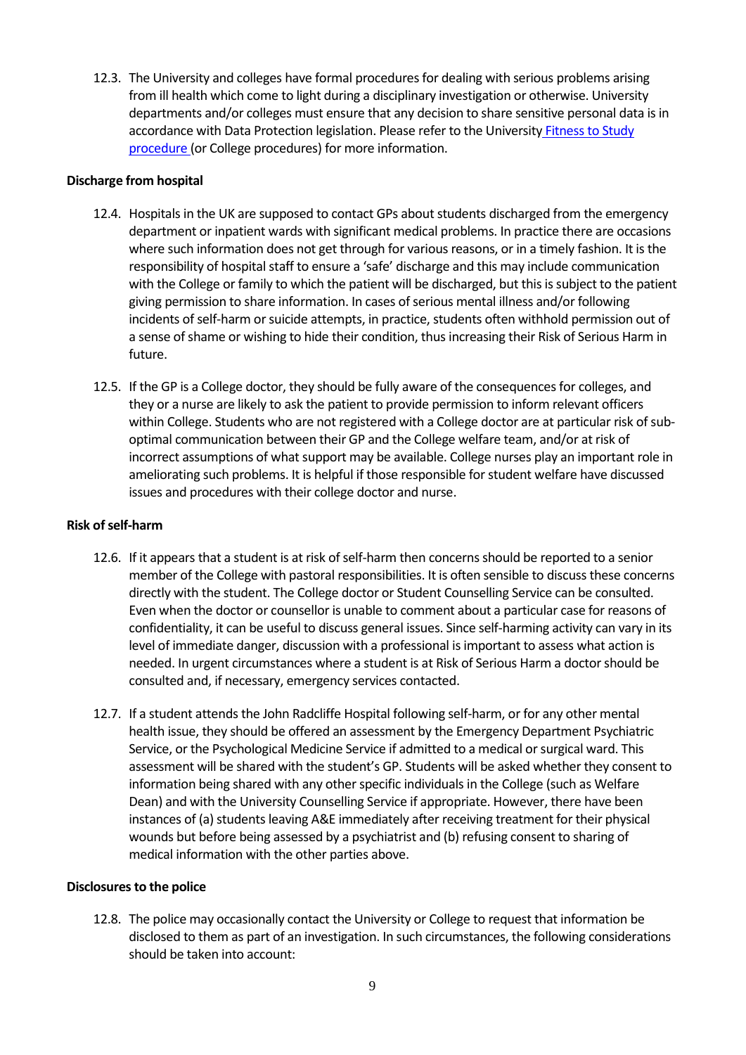12.3. The University and colleges have formal procedures for dealing with serious problems arising from ill health which come to light during a disciplinary investigation or otherwise. University departments and/or colleges must ensure that any decision to share sensitive personal data is in accordance with Data Protection legislation. Please refer to the Universit[y Fitness to Study](https://www.admin.ox.ac.uk/media/global/wwwadminoxacuk/localsites/educationcommittee/documents/notesofguidance/Fitness_to_Study_for_departments.pdf)  [procedure](https://www.admin.ox.ac.uk/media/global/wwwadminoxacuk/localsites/educationcommittee/documents/notesofguidance/Fitness_to_Study_for_departments.pdf) (or College procedures) for more information.

# **Discharge from hospital**

- 12.4. Hospitals in the UK are supposed to contact GPs about students discharged from the emergency department or inpatient wards with significant medical problems. In practice there are occasions where such information does not get through for various reasons, or in a timely fashion. It is the responsibility of hospital staff to ensure a 'safe' discharge and this may include communication with the College or family to which the patient will be discharged, but this is subject to the patient giving permission to share information. In cases of serious mental illness and/or following incidents of self-harm or suicide attempts, in practice, students often withhold permission out of a sense of shame or wishing to hide their condition, thus increasing their Risk of Serious Harm in future.
- 12.5. If the GP is a College doctor, they should be fully aware of the consequences for colleges, and they or a nurse are likely to ask the patient to provide permission to inform relevant officers within College. Students who are not registered with a College doctor are at particular risk of suboptimal communication between their GP and the College welfare team, and/or at risk of incorrect assumptions of what support may be available. College nurses play an important role in ameliorating such problems. It is helpful if those responsible for student welfare have discussed issues and procedures with their college doctor and nurse.

## **Risk of self-harm**

- 12.6. If it appears that a student is at risk of self-harm then concerns should be reported to a senior member of the College with pastoral responsibilities. It is often sensible to discuss these concerns directly with the student. The College doctor or Student Counselling Service can be consulted. Even when the doctor or counsellor is unable to comment about a particular case for reasons of confidentiality, it can be useful to discuss general issues. Since self-harming activity can vary in its level of immediate danger, discussion with a professional is important to assess what action is needed. In urgent circumstances where a student is at Risk of Serious Harm a doctor should be consulted and, if necessary, emergency services contacted.
- 12.7. If a student attends the John Radcliffe Hospital following self-harm, or for any other mental health issue, they should be offered an assessment by the Emergency Department Psychiatric Service, or the Psychological Medicine Service if admitted to a medical or surgical ward. This assessment will be shared with the student's GP. Students will be asked whether they consent to information being shared with any other specific individuals in the College (such as Welfare Dean) and with the University Counselling Service if appropriate. However, there have been instances of (a) students leaving A&E immediately after receiving treatment for their physical wounds but before being assessed by a psychiatrist and (b) refusing consent to sharing of medical information with the other parties above.

#### **Disclosures to the police**

12.8. The police may occasionally contact the University or College to request that information be disclosed to them as part of an investigation. In such circumstances, the following considerations should be taken into account: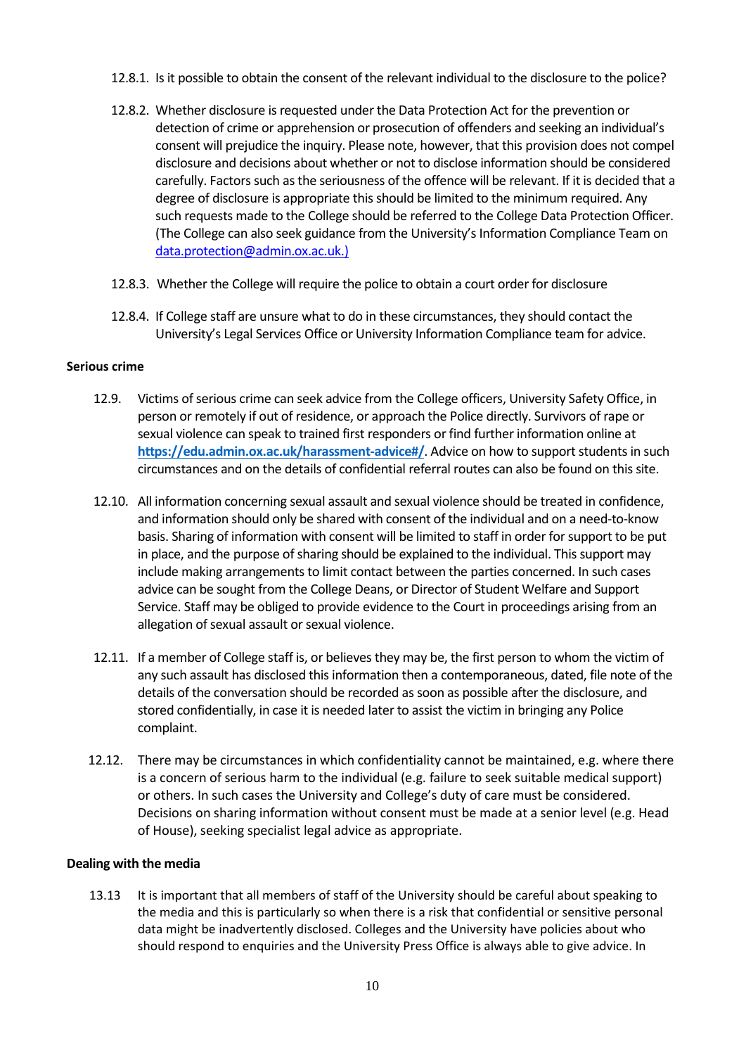- 12.8.1. Is it possible to obtain the consent of the relevant individual to the disclosure to the police?
- 12.8.2. Whether disclosure is requested under the Data Protection Act for the prevention or detection of crime or apprehension or prosecution of offenders and seeking an individual's consent will prejudice the inquiry. Please note, however, that this provision does not compel disclosure and decisions about whether or not to disclose information should be considered carefully. Factors such as the seriousness of the offence will be relevant. If it is decided that a degree of disclosure is appropriate this should be limited to the minimum required. Any such requests made to the College should be referred to the College Data Protection Officer. (The College can also seek guidance from the University's Information Compliance Team on data.protection@admin.ox.ac.uk.)
- 12.8.3. Whether the College will require the police to obtain a court order for disclosure
- 12.8.4. If College staff are unsure what to do in these circumstances, they should contact the University's Legal Services Office or University Information Compliance team for advice.

#### **Serious crime**

- 12.9. Victims of serious crime can seek advice from the College officers, University Safety Office, in person or remotely if out of residence, or approach the Police directly. Survivors of rape or sexual violence can speak to trained first responders or find further information online at **<https://edu.admin.ox.ac.uk/harassment-advice#/>**. Advice on how to support students in such circumstances and on the details of confidential referral routes can also be found on this site.
- 12.10. All information concerning sexual assault and sexual violence should be treated in confidence, and information should only be shared with consent of the individual and on a need-to-know basis. Sharing of information with consent will be limited to staff in order for support to be put in place, and the purpose of sharing should be explained to the individual. This support may include making arrangements to limit contact between the parties concerned. In such cases advice can be sought from the College Deans, or Director of Student Welfare and Support Service. Staff may be obliged to provide evidence to the Court in proceedings arising from an allegation of sexual assault or sexual violence.
- 12.11. If a member of College staff is, or believes they may be, the first person to whom the victim of any such assault has disclosed this information then a contemporaneous, dated, file note of the details of the conversation should be recorded as soon as possible after the disclosure, and stored confidentially, in case it is needed later to assist the victim in bringing any Police complaint.
- 12.12. There may be circumstances in which confidentiality cannot be maintained, e.g. where there is a concern of serious harm to the individual (e.g. failure to seek suitable medical support) or others. In such cases the University and College's duty of care must be considered. Decisions on sharing information without consent must be made at a senior level (e.g. Head of House), seeking specialist legal advice as appropriate.

#### **Dealing with the media**

13.13 It is important that all members of staff of the University should be careful about speaking to the media and this is particularly so when there is a risk that confidential or sensitive personal data might be inadvertently disclosed. Colleges and the University have policies about who should respond to enquiries and the University Press Office is always able to give advice. In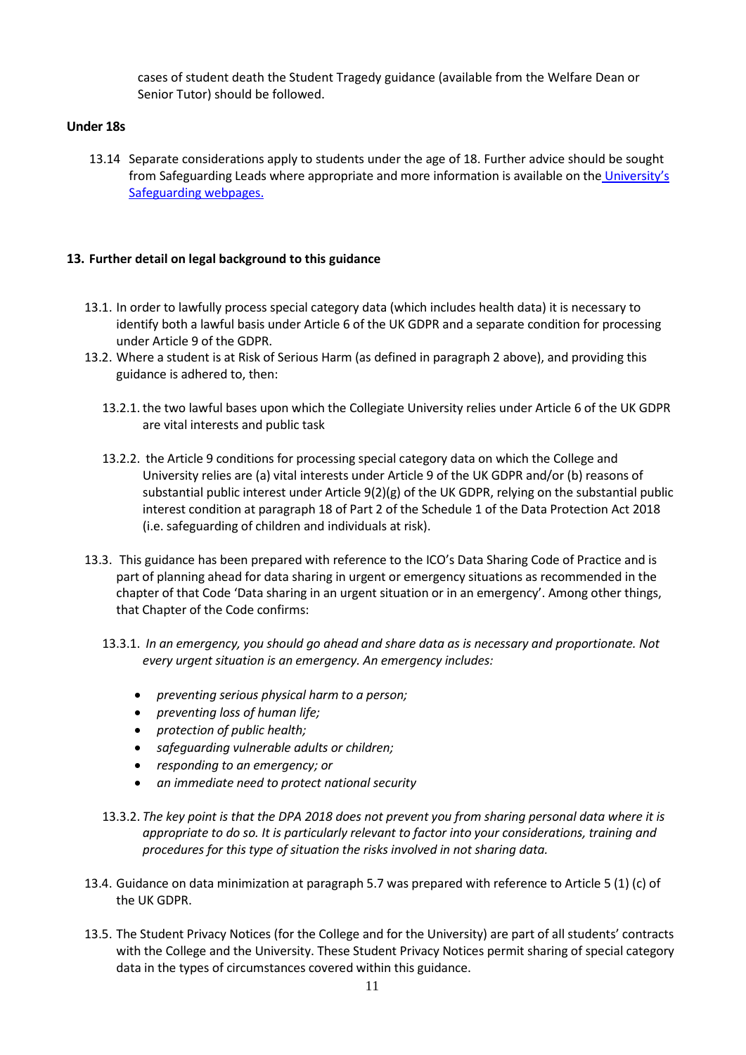cases of student death the Student Tragedy guidance (available from the Welfare Dean or Senior Tutor) should be followed.

## **Under 18s**

13.14 Separate considerations apply to students under the age of 18. Further advice should be sought from Safeguarding Leads where appropriate and more information is available on th[e University's](https://www.admin.ox.ac.uk/personnel/cops/safeguarding/)  [Safeguarding webpages.](https://www.admin.ox.ac.uk/personnel/cops/safeguarding/)

## <span id="page-10-0"></span>**13. Further detail on legal background to this guidance**

- 13.1. In order to lawfully process special category data (which includes health data) it is necessary to identify both a lawful basis under Article 6 of the UK GDPR and a separate condition for processing under Article 9 of the GDPR.
- 13.2. Where a student is at Risk of Serious Harm (as defined in paragraph 2 above), and providing this guidance is adhered to, then:
	- 13.2.1. the two lawful bases upon which the Collegiate University relies under Article 6 of the UK GDPR are vital interests and public task
	- 13.2.2. the Article 9 conditions for processing special category data on which the College and University relies are (a) vital interests under Article 9 of the UK GDPR and/or (b) reasons of substantial public interest under Article 9(2)(g) of the UK GDPR, relying on the substantial public interest condition at paragraph 18 of Part 2 of the Schedule 1 of the Data Protection Act 2018 (i.e. safeguarding of children and individuals at risk).
- 13.3. This guidance has been prepared with reference to the ICO's Data Sharing Code of Practice and is part of planning ahead for data sharing in urgent or emergency situations as recommended in the chapter of that Code 'Data sharing in an urgent situation or in an emergency'. Among other things, that Chapter of the Code confirms:
	- 13.3.1. *In an emergency, you should go ahead and share data as is necessary and proportionate. Not every urgent situation is an emergency. An emergency includes:*
		- *preventing serious physical harm to a person;*
		- *preventing loss of human life;*
		- *protection of public health;*
		- *safeguarding vulnerable adults or children;*
		- *responding to an emergency; or*
		- *an immediate need to protect national security*
	- 13.3.2. *The key point is that the DPA 2018 does not prevent you from sharing personal data where it is appropriate to do so. It is particularly relevant to factor into your considerations, training and procedures for this type of situation the risks involved in not sharing data.*
- 13.4. Guidance on data minimization at paragraph 5.7 was prepared with reference to Article 5 (1) (c) of the UK GDPR.
- 13.5. The Student Privacy Notices (for the College and for the University) are part of all students' contracts with the College and the University. These Student Privacy Notices permit sharing of special category data in the types of circumstances covered within this guidance.